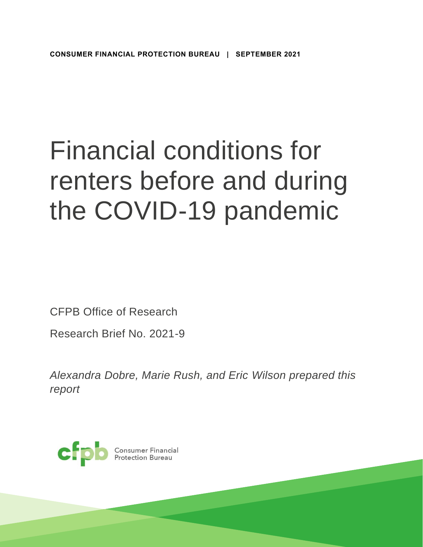# Financial conditions for renters before and during the COVID-19 pandemic

CFPB Office of Research

Research Brief No. 2021-9

*Alexandra Dobre, Marie Rush, and Eric Wilson prepared this report* 

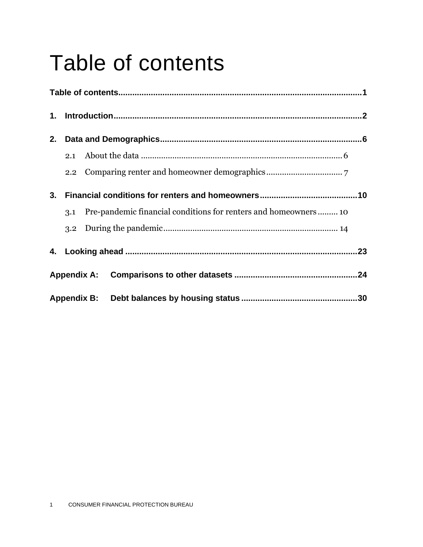# <span id="page-1-0"></span>Table of contents

| 1. |               |                    |  |  |
|----|---------------|--------------------|--|--|
| 2. |               |                    |  |  |
|    | 2.1           |                    |  |  |
|    | $2.2^{\circ}$ |                    |  |  |
| 3. |               |                    |  |  |
|    | 3.1           |                    |  |  |
|    | 3.2           |                    |  |  |
|    |               |                    |  |  |
|    |               | <b>Appendix A:</b> |  |  |
|    |               |                    |  |  |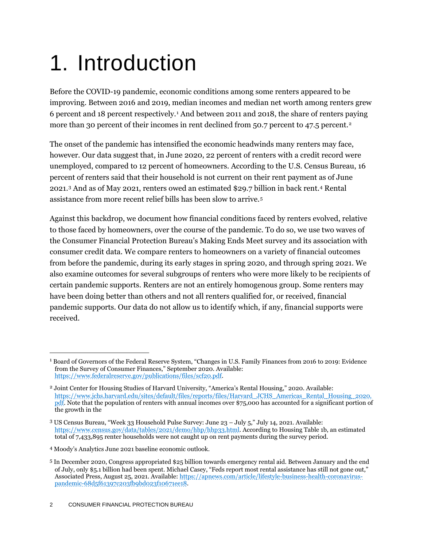# <span id="page-2-0"></span>1. Introduction

Before the COVID-19 pandemic, economic conditions among some renters appeared to be improving. Between 2016 and 2019, median incomes and median net worth among renters grew 6 percent and 18 percent respectively.<sup>1</sup> And between 2011 and 2018, the share of renters paying more than 30 percent of their incomes in rent declined from 50.7 percent to 47.5 percent.<sup>2</sup>

The onset of the pandemic has intensified the economic headwinds many renters may face, however. Our data suggest that, in June 2020, 22 percent of renters with a credit record were unemployed, compared to 12 percent of homeowners. According to the U.S. Census Bureau, 16 percent of renters said that their household is not current on their rent payment as of June 2021.<sup>3</sup> And as of May 2021, renters owed an estimated \$29.7 billion in back rent.<sup>4</sup> Rental assistance from more recent relief bills has been slow to arrive.<sup>5</sup>

Against this backdrop, we document how financial conditions faced by renters evolved, relative to those faced by homeowners, over the course of the pandemic. To do so, we use two waves of the Consumer Financial Protection Bureau's Making Ends Meet survey and its association with consumer credit data. We compare renters to homeowners on a variety of financial outcomes from before the pandemic, during its early stages in spring 2020, and through spring 2021. We also examine outcomes for several subgroups of renters who were more likely to be recipients of certain pandemic supports. Renters are not an entirely homogenous group. Some renters may have been doing better than others and not all renters qualified for, or received, financial pandemic supports. Our data do not allow us to identify which, if any, financial supports were received.

<sup>1</sup> Board of Governors of the Federal Reserve System, "Changes in U.S. Family Finances from 2016 to 2019: Evidence from the Survey of Consumer Finances," September 2020. Available: [https://www.federalreserve.gov/publications/files/scf20.pdf.](https://www.federalreserve.gov/publications/files/scf20.pdf)

<sup>2</sup> Joint Center for Housing Studies of Harvard University, "America's Rental Housing," 2020. Available: [https://www.jchs.harvard.edu/sites/default/files/reports/files/Harvard\\_JCHS\\_Americas\\_Rental\\_Housing\\_2020.](https://www.jchs.harvard.edu/sites/default/files/reports/files/Harvard_JCHS_Americas_Rental_Housing_2020.pdf) [pdf.](https://www.jchs.harvard.edu/sites/default/files/reports/files/Harvard_JCHS_Americas_Rental_Housing_2020.pdf) Note that the population of renters with annual incomes over \$75,000 has accounted for a significant portion of the growth in the

<sup>3</sup> US Census Bureau, "Week 33 Household Pulse Survey: June 23 – July 5," July 14, 2021. Available: [https://www.census.gov/data/tables/2021/demo/hhp/hhp33.html.](https://www.census.gov/data/tables/2021/demo/hhp/hhp33.html) According to Housing Table 1b, an estimated total of 7,433,895 renter households were not caught up on rent payments during the survey period.

<sup>4</sup> Moody's Analytics June 2021 baseline economic outlook.

<sup>5</sup> In December 2020, Congress appropriated \$25 billion towards emergency rental aid. Between January and the end of July, only \$5.1 billion had been spent. Michael Casey, "Feds report most rental assistance has still not gone out," Associated Press, August 25, 2021. Available: [https://apnews.com/article/lifestyle-business-health-coronavirus](https://apnews.com/article/lifestyle-business-health-coronavirus-pandemic-68d5f61397c203fb9bd023f10671ee18)[pandemic-68d5f61397c203fb9bd023f10671ee18.](https://apnews.com/article/lifestyle-business-health-coronavirus-pandemic-68d5f61397c203fb9bd023f10671ee18)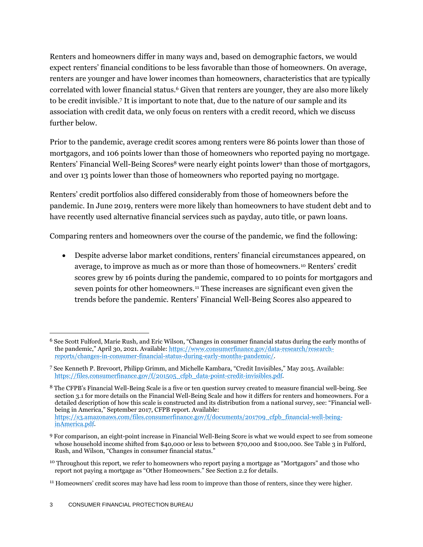Renters and homeowners differ in many ways and, based on demographic factors, we would expect renters' financial conditions to be less favorable than those of homeowners. On average, renters are younger and have lower incomes than homeowners, characteristics that are typically correlated with lower financial status.<sup>6</sup> Given that renters are younger, they are also more likely to be credit invisible.<sup>7</sup> It is important to note that, due to the nature of our sample and its association with credit data, we only focus on renters with a credit record, which we discuss further below.

Prior to the pandemic, average credit scores among renters were 86 points lower than those of mortgagors, and 106 points lower than those of homeowners who reported paying no mortgage. Renters' Financial Well-Being Scores<sup>8</sup> were nearly eight points lower<sup>9</sup> than those of mortgagors, and over 13 points lower than those of homeowners who reported paying no mortgage.

Renters' credit portfolios also differed considerably from those of homeowners before the pandemic. In June 2019, renters were more likely than homeowners to have student debt and to have recently used alternative financial services such as payday, auto title, or pawn loans.

Comparing renters and homeowners over the course of the pandemic, we find the following:

• Despite adverse labor market conditions, renters' financial circumstances appeared, on average, to improve as much as or more than those of homeowners.<sup>10</sup> Renters' credit scores grew by 16 points during the pandemic, compared to 10 points for mortgagors and seven points for other homeowners.<sup>11</sup> These increases are significant even given the trends before the pandemic. Renters' Financial Well-Being Scores also appeared to

<sup>6</sup> See Scott Fulford, Marie Rush, and Eric Wilson, "Changes in consumer financial status during the early months of the pandemic," April 30, 2021. Available: [https://www.consumerfinance.gov/data-research/research](https://www.consumerfinance.gov/data-research/research-reports/changes-in-consumer-financial-status-during-early-months-pandemic/)[reports/changes-in-consumer-financial-status-during-early-months-pandemic/.](https://www.consumerfinance.gov/data-research/research-reports/changes-in-consumer-financial-status-during-early-months-pandemic/)

<sup>7</sup> See Kenneth P. Brevoort, Philipp Grimm, and Michelle Kambara, "Credit Invisibles," May 2015. Available: [https://files.consumerfinance.gov/f/201505\\_cfpb\\_data-point-credit-invisibles.pdf.](https://files.consumerfinance.gov/f/201505_cfpb_data-point-credit-invisibles.pdf)

<sup>8</sup> The CFPB's Financial Well-Being Scale is a five or ten question survey created to measure financial well-being. See section 3.1 for more details on the Financial Well-Being Scale and how it differs for renters and homeowners. For a detailed description of how this scale is constructed and its distribution from a national survey, see: "Financial wellbeing in America," September 2017, CFPB report. Available: [https://s3.amazonaws.com/files.consumerfinance.gov/f/documents/201709\\_cfpb\\_financial-well-being](https://s3.amazonaws.com/files.consumerfinance.gov/f/documents/201709_cfpb_financial-well-being-inAmerica.pdf)[inAmerica.pdf.](https://s3.amazonaws.com/files.consumerfinance.gov/f/documents/201709_cfpb_financial-well-being-inAmerica.pdf)

<sup>9</sup> For comparison, an eight-point increase in Financial Well-Being Score is what we would expect to see from someone whose household income shifted from \$40,000 or less to between \$70,000 and \$100,000. See Table 3 in Fulford, Rush, and Wilson, "Changes in consumer financial status."

<sup>&</sup>lt;sup>10</sup> Throughout this report, we refer to homeowners who report paying a mortgage as "Mortgagors" and those who report not paying a mortgage as "Other Homeowners." See Section 2.2 for details.

<sup>&</sup>lt;sup>11</sup> Homeowners' credit scores may have had less room to improve than those of renters, since they were higher.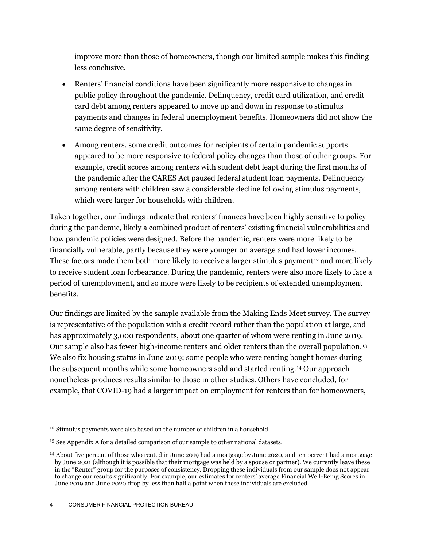improve more than those of homeowners, though our limited sample makes this finding less conclusive.

- Renters' financial conditions have been significantly more responsive to changes in public policy throughout the pandemic. Delinquency, credit card utilization, and credit card debt among renters appeared to move up and down in response to stimulus payments and changes in federal unemployment benefits. Homeowners did not show the same degree of sensitivity.
- Among renters, some credit outcomes for recipients of certain pandemic supports appeared to be more responsive to federal policy changes than those of other groups. For example, credit scores among renters with student debt leapt during the first months of the pandemic after the CARES Act paused federal student loan payments. Delinquency among renters with children saw a considerable decline following stimulus payments, which were larger for households with children.

Taken together, our findings indicate that renters' finances have been highly sensitive to policy during the pandemic, likely a combined product of renters' existing financial vulnerabilities and how pandemic policies were designed. Before the pandemic, renters were more likely to be financially vulnerable, partly because they were younger on average and had lower incomes. These factors made them both more likely to receive a larger stimulus payment<sup>12</sup> and more likely to receive student loan forbearance. During the pandemic, renters were also more likely to face a period of unemployment, and so more were likely to be recipients of extended unemployment benefits.

Our findings are limited by the sample available from the Making Ends Meet survey. The survey is representative of the population with a credit record rather than the population at large, and has approximately 3,000 respondents, about one quarter of whom were renting in June 2019. Our sample also has fewer high-income renters and older renters than the overall population.<sup>13</sup> We also fix housing status in June 2019; some people who were renting bought homes during the subsequent months while some homeowners sold and started renting.<sup>14</sup> Our approach nonetheless produces results similar to those in other studies. Others have concluded, for example, that COVID-19 had a larger impact on employment for renters than for homeowners,

<sup>&</sup>lt;sup>12</sup> Stimulus payments were also based on the number of children in a household.

<sup>&</sup>lt;sup>13</sup> See Appendix A for a detailed comparison of our sample to other national datasets.

<sup>14</sup> About five percent of those who rented in June 2019 had a mortgage by June 2020, and ten percent had a mortgage by June 2021 (although it is possible that their mortgage was held by a spouse or partner). We currently leave these in the "Renter" group for the purposes of consistency. Dropping these individuals from our sample does not appear to change our results significantly: For example, our estimates for renters' average Financial Well-Being Scores in June 2019 and June 2020 drop by less than half a point when these individuals are excluded.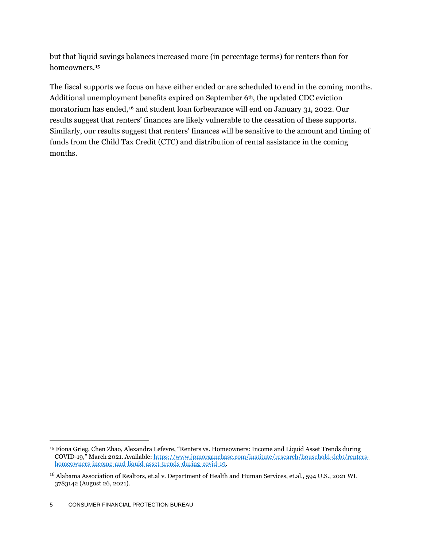but that liquid savings balances increased more (in percentage terms) for renters than for homeowners.<sup>15</sup>

The fiscal supports we focus on have either ended or are scheduled to end in the coming months. Additional unemployment benefits expired on September 6<sup>th</sup>, the updated CDC eviction moratorium has ended,<sup>16</sup> and student loan forbearance will end on January 31, 2022. Our results suggest that renters' finances are likely vulnerable to the cessation of these supports. Similarly, our results suggest that renters' finances will be sensitive to the amount and timing of funds from the Child Tax Credit (CTC) and distribution of rental assistance in the coming months.

<sup>15</sup> Fiona Grieg, Chen Zhao, Alexandra Lefevre, "Renters vs. Homeowners: Income and Liquid Asset Trends during COVID-19," March 2021. Available[: https://www.jpmorganchase.com/institute/research/household-debt/renters](https://www.jpmorganchase.com/institute/research/household-debt/renters-homeowners-income-and-liquid-asset-trends-during-covid-19)[homeowners-income-and-liquid-asset-trends-during-covid-19.](https://www.jpmorganchase.com/institute/research/household-debt/renters-homeowners-income-and-liquid-asset-trends-during-covid-19)

<sup>16</sup> Alabama Association of Realtors, et.al v. Department of Health and Human Services, et.al., 594 U.S., 2021 WL 3783142 (August 26, 2021).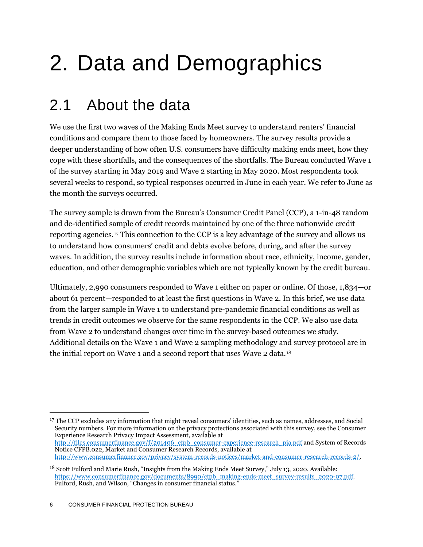# <span id="page-6-0"></span>2. Data and Demographics

## <span id="page-6-1"></span>2.1 About the data

We use the first two waves of the Making Ends Meet survey to understand renters' financial conditions and compare them to those faced by homeowners. The survey results provide a deeper understanding of how often U.S. consumers have difficulty making ends meet, how they cope with these shortfalls, and the consequences of the shortfalls. The Bureau conducted Wave 1 of the survey starting in May 2019 and Wave 2 starting in May 2020. Most respondents took several weeks to respond, so typical responses occurred in June in each year. We refer to June as the month the surveys occurred.

The survey sample is drawn from the Bureau's Consumer Credit Panel (CCP), a 1-in-48 random and de-identified sample of credit records maintained by one of the three nationwide credit reporting agencies.<sup>17</sup> This connection to the CCP is a key advantage of the survey and allows us to understand how consumers' credit and debts evolve before, during, and after the survey waves. In addition, the survey results include information about race, ethnicity, income, gender, education, and other demographic variables which are not typically known by the credit bureau.

Ultimately, 2,990 consumers responded to Wave 1 either on paper or online. Of those, 1,834—or about 61 percent—responded to at least the first questions in Wave 2. In this brief, we use data from the larger sample in Wave 1 to understand pre-pandemic financial conditions as well as trends in credit outcomes we observe for the same respondents in the CCP. We also use data from Wave 2 to understand changes over time in the survey-based outcomes we study. Additional details on the Wave 1 and Wave 2 sampling methodology and survey protocol are in the initial report on Wave 1 and a second report that uses Wave 2 data.<sup>18</sup>

<sup>17</sup> The CCP excludes any information that might reveal consumers' identities, such as names, addresses, and Social Security numbers. For more information on the privacy protections associated with this survey, see the Consumer Experience Research Privacy Impact Assessment, available at [http://files.consumerfinance.gov/f/201406\\_cfpb\\_consumer-experience-research\\_pia.pdf](http://files.consumerfinance.gov/f/201406_cfpb_consumer-experience-research_pia.pdf) and System of Records Notice CFPB.022, Market and Consumer Research Records, available at [http://www.consumerfinance.gov/privacy/system-records-notices/market-and-consumer-research-records-2/.](http://www.consumerfinance.gov/privacy/system-records-notices/market-and-consumer-research-records-2/)

<sup>&</sup>lt;sup>18</sup> Scott Fulford and Marie Rush, "Insights from the Making Ends Meet Survey," July 13, 2020. Available: [https://www.consumerfinance.gov/documents/8990/cfpb\\_making-ends-meet\\_survey-results\\_2020-07.pdf.](https://www.consumerfinance.gov/documents/8990/cfpb_making-ends-meet_survey-results_2020-07.pdf)  Fulford, Rush, and Wilson, "Changes in consumer financial status."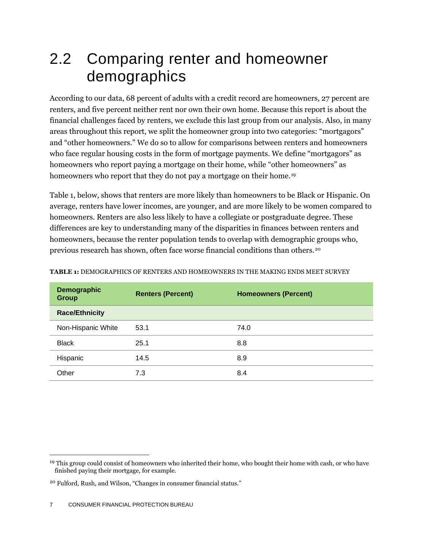## <span id="page-7-0"></span>2.2 Comparing renter and homeowner demographics

According to our data, 68 percent of adults with a credit record are homeowners, 27 percent are renters, and five percent neither rent nor own their own home. Because this report is about the financial challenges faced by renters, we exclude this last group from our analysis. Also, in many areas throughout this report, we split the homeowner group into two categories: "mortgagors" and "other homeowners." We do so to allow for comparisons between renters and homeowners who face regular housing costs in the form of mortgage payments. We define "mortgagors" as homeowners who report paying a mortgage on their home, while "other homeowners" as homeowners who report that they do not pay a mortgage on their home.<sup>19</sup>

Table 1, below, shows that renters are more likely than homeowners to be Black or Hispanic. On average, renters have lower incomes, are younger, and are more likely to be women compared to homeowners. Renters are also less likely to have a collegiate or postgraduate degree. These differences are key to understanding many of the disparities in finances between renters and homeowners, because the renter population tends to overlap with demographic groups who, previous research has shown, often face worse financial conditions than others.<sup>20</sup>

| Demographic<br><b>Group</b> | <b>Renters (Percent)</b> | <b>Homeowners (Percent)</b> |  |
|-----------------------------|--------------------------|-----------------------------|--|
| <b>Race/Ethnicity</b>       |                          |                             |  |
| Non-Hispanic White          | 53.1                     | 74.0                        |  |
| <b>Black</b>                | 25.1                     | 8.8                         |  |
| Hispanic                    | 14.5                     | 8.9                         |  |
| Other                       | 7.3                      | 8.4                         |  |

**TABLE 1:** DEMOGRAPHICS OF RENTERS AND HOMEOWNERS IN THE MAKING ENDS MEET SURVEY

<sup>&</sup>lt;sup>19</sup> This group could consist of homeowners who inherited their home, who bought their home with cash, or who have finished paying their mortgage, for example.

<sup>20</sup> Fulford, Rush, and Wilson, "Changes in consumer financial status."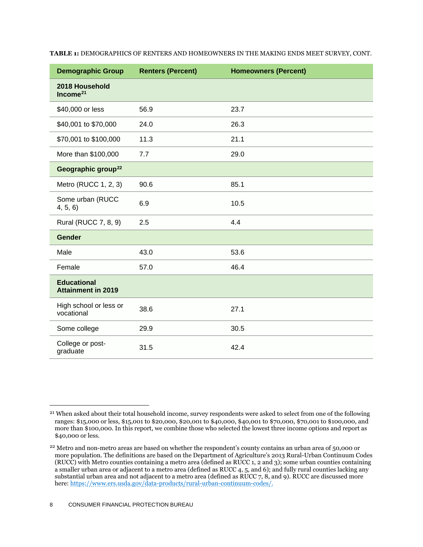| <b>Demographic Group</b>                        | <b>Renters (Percent)</b> | <b>Homeowners (Percent)</b> |
|-------------------------------------------------|--------------------------|-----------------------------|
| 2018 Household<br>Income <sup>21</sup>          |                          |                             |
| \$40,000 or less                                | 56.9                     | 23.7                        |
| \$40,001 to \$70,000                            | 24.0                     | 26.3                        |
| \$70,001 to \$100,000                           | 11.3                     | 21.1                        |
| More than \$100,000                             | 7.7                      | 29.0                        |
| Geographic group <sup>22</sup>                  |                          |                             |
| Metro (RUCC 1, 2, 3)                            | 90.6                     | 85.1                        |
| Some urban (RUCC<br>4, 5, 6)                    | 6.9                      | 10.5                        |
| Rural (RUCC 7, 8, 9)                            | 2.5                      | 4.4                         |
| <b>Gender</b>                                   |                          |                             |
| Male                                            | 43.0                     | 53.6                        |
| Female                                          | 57.0                     | 46.4                        |
| <b>Educational</b><br><b>Attainment in 2019</b> |                          |                             |
| High school or less or<br>vocational            | 38.6                     | 27.1                        |
| Some college                                    | 29.9                     | 30.5                        |
| College or post-<br>graduate                    | 31.5                     | 42.4                        |

**TABLE 1:** DEMOGRAPHICS OF RENTERS AND HOMEOWNERS IN THE MAKING ENDS MEET SURVEY, CONT.

<sup>&</sup>lt;sup>21</sup> When asked about their total household income, survey respondents were asked to select from one of the following ranges: \$15,000 or less, \$15,001 to \$20,000, \$20,001 to \$40,000, \$40,001 to \$70,000, \$70,001 to \$100,000, and more than \$100,000. In this report, we combine those who selected the lowest three income options and report as \$40,000 or less.

<sup>&</sup>lt;sup>22</sup> Metro and non-metro areas are based on whether the respondent's county contains an urban area of 50,000 or more population. The definitions are based on the Department of Agriculture's 2013 Rural-Urban Continuum Codes (RUCC) with Metro counties containing a metro area (defined as RUCC 1, 2 and 3); some urban counties containing a smaller urban area or adjacent to a metro area (defined as RUCC 4, 5, and 6); and fully rural counties lacking any substantial urban area and not adjacent to a metro area (defined as RUCC 7, 8, and 9). RUCC are discussed more here: [https://www.ers.usda.gov/data-products/rural-urban-continuum-codes/.](https://www.ers.usda.gov/data-products/rural-urban-continuum-codes/)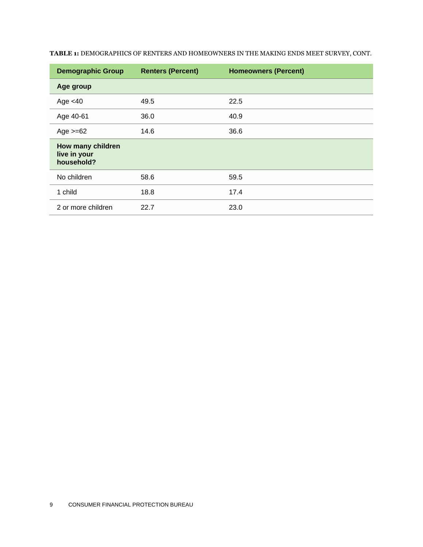| <b>Demographic Group</b>                        | <b>Renters (Percent)</b> | <b>Homeowners (Percent)</b> |
|-------------------------------------------------|--------------------------|-----------------------------|
| Age group                                       |                          |                             |
| Age $<$ 40                                      | 49.5                     | 22.5                        |
| Age 40-61                                       | 36.0                     | 40.9                        |
| Age $>=62$                                      | 14.6                     | 36.6                        |
| How many children<br>live in your<br>household? |                          |                             |
| No children                                     | 58.6                     | 59.5                        |
| 1 child                                         | 18.8                     | 17.4                        |
| 2 or more children                              | 22.7                     | 23.0                        |

**TABLE 1:** DEMOGRAPHICS OF RENTERS AND HOMEOWNERS IN THE MAKING ENDS MEET SURVEY, CONT.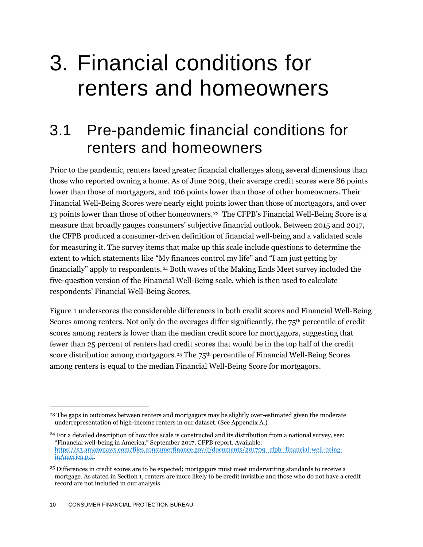## <span id="page-10-0"></span>3. Financial conditions for renters and homeowners

### <span id="page-10-1"></span>3.1 Pre-pandemic financial conditions for renters and homeowners

Prior to the pandemic, renters faced greater financial challenges along several dimensions than those who reported owning a home. As of June 2019, their average credit scores were 86 points lower than those of mortgagors, and 106 points lower than those of other homeowners. Their Financial Well-Being Scores were nearly eight points lower than those of mortgagors, and over 13 points lower than those of other homeowners.<sup>23</sup> The CFPB's Financial Well-Being Score is a measure that broadly gauges consumers' subjective financial outlook. Between 2015 and 2017, the CFPB produced a consumer-driven definition of financial well-being and a validated scale for measuring it. The survey items that make up this scale include questions to determine the extent to which statements like "My finances control my life" and "I am just getting by financially" apply to respondents.<sup>24</sup> Both waves of the Making Ends Meet survey included the five-question version of the Financial Well-Being scale, which is then used to calculate respondents' Financial Well-Being Scores.

Figure 1 underscores the considerable differences in both credit scores and Financial Well-Being Scores among renters. Not only do the averages differ significantly, the 75<sup>th</sup> percentile of credit scores among renters is lower than the median credit score for mortgagors, suggesting that fewer than 25 percent of renters had credit scores that would be in the top half of the credit score distribution among mortgagors.<sup>25</sup> The 75<sup>th</sup> percentile of Financial Well-Being Scores among renters is equal to the median Financial Well-Being Score for mortgagors.

<sup>&</sup>lt;sup>23</sup> The gaps in outcomes between renters and mortgagors may be slightly over-estimated given the moderate underrepresentation of high-income renters in our dataset. (See Appendix A.)

<sup>&</sup>lt;sup>24</sup> For a detailed description of how this scale is constructed and its distribution from a national survey, see: "Financial well-being in America," September 2017, CFPB report. Available: [https://s3.amazonaws.com/files.consumerfinance.gov/f/documents/201709\\_cfpb\\_financial-well-being](https://s3.amazonaws.com/files.consumerfinance.gov/f/documents/201709_cfpb_financial-well-being-inAmerica.pdf)[inAmerica.pdf.](https://s3.amazonaws.com/files.consumerfinance.gov/f/documents/201709_cfpb_financial-well-being-inAmerica.pdf)

<sup>25</sup> Differences in credit scores are to be expected; mortgagors must meet underwriting standards to receive a mortgage. As stated in Section 1, renters are more likely to be credit invisible and those who do not have a credit record are not included in our analysis.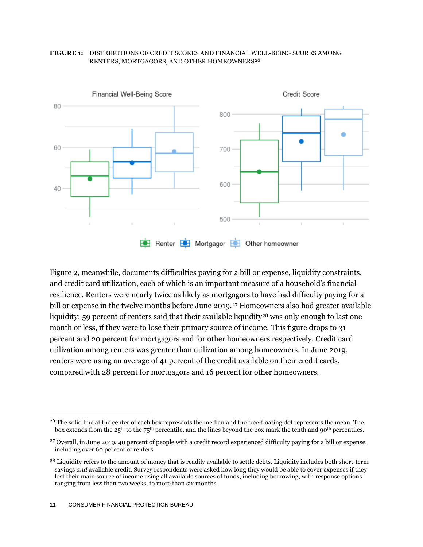

#### **FIGURE 1:** DISTRIBUTIONS OF CREDIT SCORES AND FINANCIAL WELL-BEING SCORES AMONG RENTERS, MORTGAGORS, AND OTHER HOMEOWNERS<sup>26</sup>

Figure 2, meanwhile, documents difficulties paying for a bill or expense, liquidity constraints, and credit card utilization, each of which is an important measure of a household's financial resilience. Renters were nearly twice as likely as mortgagors to have had difficulty paying for a bill or expense in the twelve months before June 2019.<sup>27</sup> Homeowners also had greater available liquidity: 59 percent of renters said that their available liquidity<sup>28</sup> was only enough to last one month or less, if they were to lose their primary source of income. This figure drops to 31 percent and 20 percent for mortgagors and for other homeowners respectively. Credit card utilization among renters was greater than utilization among homeowners. In June 2019, renters were using an average of 41 percent of the credit available on their credit cards, compared with 28 percent for mortgagors and 16 percent for other homeowners.

<sup>&</sup>lt;sup>26</sup> The solid line at the center of each box represents the median and the free-floating dot represents the mean. The box extends from the 25<sup>th</sup> to the 75<sup>th</sup> percentile, and the lines beyond the box mark the tenth and 90<sup>th</sup> percentiles.

<sup>27</sup> Overall, in June 2019, 40 percent of people with a credit record experienced difficulty paying for a bill or expense, including over 60 percent of renters.

<sup>&</sup>lt;sup>28</sup> Liquidity refers to the amount of money that is readily available to settle debts. Liquidity includes both short-term savings *and* available credit. Survey respondents were asked how long they would be able to cover expenses if they lost their main source of income using all available sources of funds, including borrowing, with response options ranging from less than two weeks, to more than six months.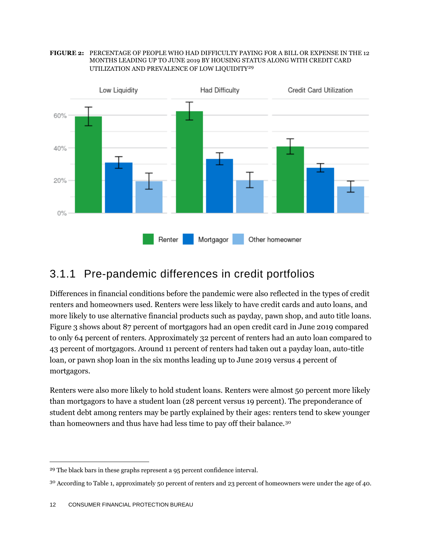



### 3.1.1 Pre-pandemic differences in credit portfolios

Differences in financial conditions before the pandemic were also reflected in the types of credit renters and homeowners used. Renters were less likely to have credit cards and auto loans, and more likely to use alternative financial products such as payday, pawn shop, and auto title loans. Figure 3 shows about 87 percent of mortgagors had an open credit card in June 2019 compared to only 64 percent of renters. Approximately 32 percent of renters had an auto loan compared to 43 percent of mortgagors. Around 11 percent of renters had taken out a payday loan, auto-title loan, or pawn shop loan in the six months leading up to June 2019 versus 4 percent of mortgagors.

Renters were also more likely to hold student loans. Renters were almost 50 percent more likely than mortgagors to have a student loan (28 percent versus 19 percent). The preponderance of student debt among renters may be partly explained by their ages: renters tend to skew younger than homeowners and thus have had less time to pay off their balance.<sup>30</sup>

<sup>&</sup>lt;sup>29</sup> The black bars in these graphs represent a 95 percent confidence interval.

<sup>30</sup> According to Table 1, approximately 50 percent of renters and 23 percent of homeowners were under the age of 40.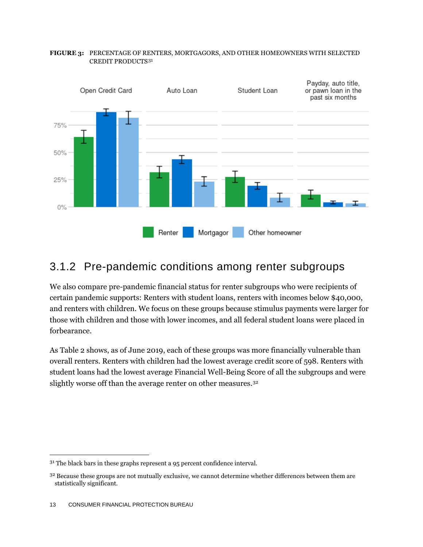

#### **FIGURE 3:** PERCENTAGE OF RENTERS, MORTGAGORS, AND OTHER HOMEOWNERS WITH SELECTED CREDIT PRODUCTS<sup>31</sup>

### 3.1.2 Pre-pandemic conditions among renter subgroups

We also compare pre-pandemic financial status for renter subgroups who were recipients of certain pandemic supports: Renters with student loans, renters with incomes below \$40,000, and renters with children. We focus on these groups because stimulus payments were larger fo r those with children and those with lower incomes, and all federal student loans were placed in forbearance.

As Table 2 shows, as of June 2019, each of these groups was more financially vulnerable than overall renters. Renters with children had the lowest average credit score of 598. Renters with student loans had the lowest average Financial Well-Being Score of all the subgroups and were slightly worse off than the average renter on other measures.<sup>32</sup>

<sup>&</sup>lt;sup>31</sup> The black bars in these graphs represent a 95 percent confidence interval.

<sup>&</sup>lt;sup>32</sup> Because these groups are not mutually exclusive, we cannot determine whether differences between them are statistically significant.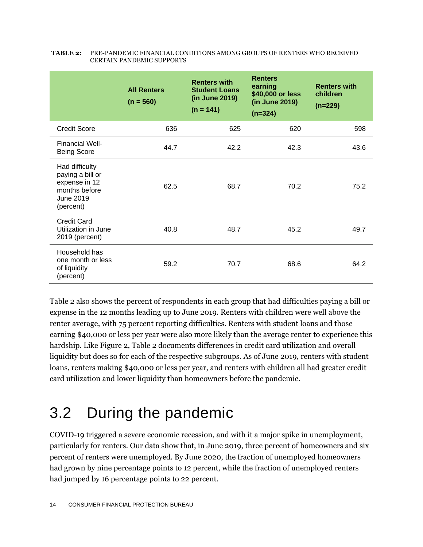|                                                                                                | <b>All Renters</b><br>$(n = 560)$ | <b>Renters with</b><br><b>Student Loans</b><br>(in June 2019)<br>$(n = 141)$ | <b>Renters</b><br>earning<br>\$40,000 or less<br>(in June 2019)<br>$(n=324)$ | <b>Renters with</b><br>children<br>$(n=229)$ |
|------------------------------------------------------------------------------------------------|-----------------------------------|------------------------------------------------------------------------------|------------------------------------------------------------------------------|----------------------------------------------|
| <b>Credit Score</b>                                                                            | 636                               | 625                                                                          | 620                                                                          | 598                                          |
| <b>Financial Well-</b><br><b>Being Score</b>                                                   | 44.7                              | 42.2                                                                         | 42.3                                                                         | 43.6                                         |
| Had difficulty<br>paying a bill or<br>expense in 12<br>months before<br>June 2019<br>(percent) | 62.5                              | 68.7                                                                         | 70.2                                                                         | 75.2                                         |
| Credit Card<br>Utilization in June<br>2019 (percent)                                           | 40.8                              | 48.7                                                                         | 45.2                                                                         | 49.7                                         |
| Household has<br>one month or less<br>of liquidity<br>(percent)                                | 59.2                              | 70.7                                                                         | 68.6                                                                         | 64.2                                         |

#### **TABLE 2:** PRE-PANDEMIC FINANCIAL CONDITIONS AMONG GROUPS OF RENTERS WHO RECEIVED CERTAIN PANDEMIC SUPPORTS

Table 2 also shows the percent of respondents in each group that had difficulties paying a bill or expense in the 12 months leading up to June 2019. Renters with children were well above the renter average, with 75 percent reporting difficulties. Renters with student loans and those earning \$40,000 or less per year were also more likely than the average renter to experience this hardship. Like Figure 2, Table 2 documents differences in credit card utilization and overall liquidity but does so for each of the respective subgroups. As of June 2019, renters with student loans, renters making \$40,000 or less per year, and renters with children all had greater credit card utilization and lower liquidity than homeowners before the pandemic.

## <span id="page-14-0"></span>3.2 During the pandemic

COVID-19 triggered a severe economic recession, and with it a major spike in unemployment, particularly for renters. Our data show that, in June 2019, three percent of homeowners and six percent of renters were unemployed. By June 2020, the fraction of unemployed homeowners had grown by nine percentage points to 12 percent, while the fraction of unemployed renters had jumped by 16 percentage points to 22 percent.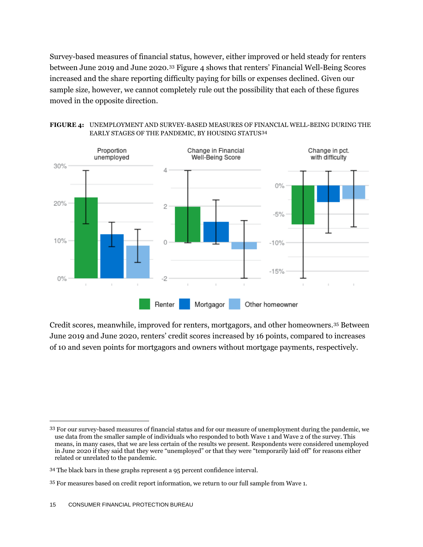Survey-based measures of financial status, however, either improved or held steady for renters between June 2019 and June 2020.<sup>33</sup> Figure 4 shows that renters' Financial Well-Being Scores increased and the share reporting difficulty paying for bills or expenses declined. Given our sample size, however, we cannot completely rule out the possibility that each of these figures moved in the opposite direction.



**FIGURE 4:** UNEMPLOYMENT AND SURVEY-BASED MEASURES OF FINANCIAL WELL-BEING DURING THE EARLY STAGES OF THE PANDEMIC, BY HOUSING STATUS*3F* 34

Credit scores, meanwhile, improved for renters, mortgagors, and other homeowners.<sup>35</sup> Between June 2019 and June 2020, renters' credit scores increased by 16 points, compared to increases of 10 and seven points for mortgagors and owners without mortgage payments, respectively.

<sup>33</sup> For our survey-based measures of financial status and for our measure of unemployment during the pandemic, we use data from the smaller sample of individuals who responded to both Wave 1 and Wave 2 of the survey. This means, in many cases, that we are less certain of the results we present. Respondents were considered unemployed in June 2020 if they said that they were "unemployed" or that they were "temporarily laid off" for reasons either related or unrelated to the pandemic.

<sup>34</sup> The black bars in these graphs represent a 95 percent confidence interval.

<sup>35</sup> For measures based on credit report information, we return to our full sample from Wave 1.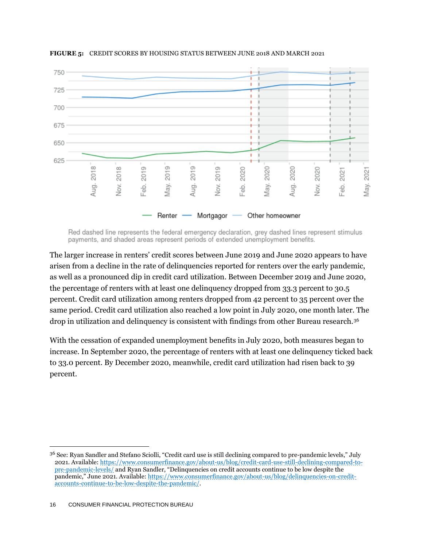

**FIGURE 5:** CREDIT SCORES BY HOUSING STATUS BETWEEN JUNE 2018 AND MARCH 2021

Red dashed line represents the federal emergency declaration, grey dashed lines represent stimulus payments, and shaded areas represent periods of extended unemployment benefits.

The larger increase in renters' credit scores between June 2019 and June 2020 appears to have arisen from a decline in the rate of delinquencies reported for renters over the early pandemic, as well as a pronounced dip in credit card utilization. Between December 2019 and June 2020, the percentage of renters with at least one delinquency dropped from 33.3 percent to 30.5 percent. Credit card utilization among renters dropped from 42 percent to 35 percent over the same period. Credit card utilization also reached a low point in July 2020, one month later. The drop in utilization and delinquency is consistent with findings from other Bureau research.<sup>36</sup>

With the cessation of expanded unemployment benefits in July 2020, both measures began to increase. In September 2020, the percentage of renters with at least one delinquency ticked back to 33.0 percent. By December 2020, meanwhile, credit card utilization had risen back to 39 percent.

<sup>36</sup> See: Ryan Sandler and Stefano Sciolli, "Credit card use is still declining compared to pre-pandemic levels," July 2021. Available: [https://www.consumerfinance.gov/about-us/blog/credit-card-use-still-declining-compared-to](https://www.consumerfinance.gov/about-us/blog/credit-card-use-still-declining-compared-to-pre-pandemic-levels/)[pre-pandemic-levels/](https://www.consumerfinance.gov/about-us/blog/credit-card-use-still-declining-compared-to-pre-pandemic-levels/) and Ryan Sandler, "Delinquencies on credit accounts continue to be low despite the pandemic," June 2021. Available: [https://www.consumerfinance.gov/about-us/blog/delinquencies-on-credit](https://www.consumerfinance.gov/about-us/blog/delinquencies-on-credit-accounts-continue-to-be-low-despite-the-pandemic/)[accounts-continue-to-be-low-despite-the-pandemic/.](https://www.consumerfinance.gov/about-us/blog/delinquencies-on-credit-accounts-continue-to-be-low-despite-the-pandemic/)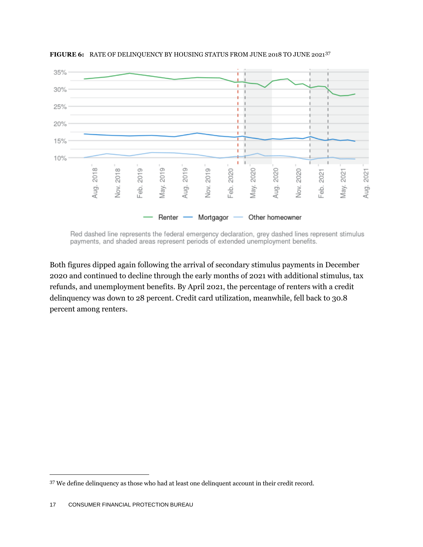

**FIGURE 6:** RATE OF DELINQUENCY BY HOUSING STATUS FROM JUNE 2018 TO JUNE 2021<sup>37</sup>

Red dashed line represents the federal emergency declaration, grey dashed lines represent stimulus payments, and shaded areas represent periods of extended unemployment benefits.

Both figures dipped again following the arrival of secondary stimulus payments in December 2020 and continued to decline through the early months of 2021 with additional stimulus, tax refunds, and unemployment benefits. By April 2021, the percentage of renters with a credit delinquency was down to 28 percent. Credit card utilization, meanwhile, fell back to 30.8 percent among renters.

<sup>37</sup> We define delinquency as those who had at least one delinquent account in their credit record.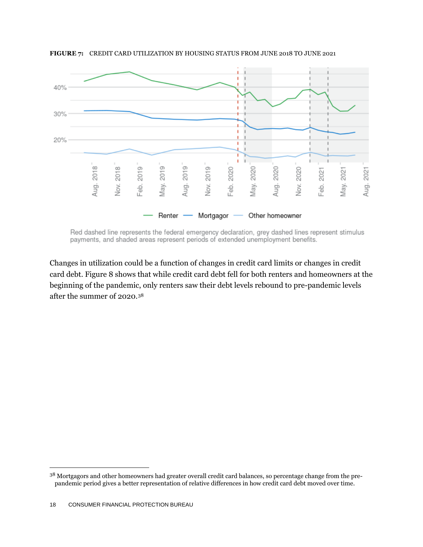

**FIGURE 7:** CREDIT CARD UTILIZATION BY HOUSING STATUS FROM JUNE 2018 TO JUNE 2021

Red dashed line represents the federal emergency declaration, grey dashed lines represent stimulus payments, and shaded areas represent periods of extended unemployment benefits.

Changes in utilization could be a function of changes in credit card limits or changes in credit card debt. Figure 8 shows that while credit card debt fell for both renters and homeowners at the beginning of the pandemic, only renters saw their debt levels rebound to pre-pandemic levels after the summer of 2020.<sup>38</sup>

<sup>&</sup>lt;sup>38</sup> Mortgagors and other homeowners had greater overall credit card balances, so percentage change from the prepandemic period gives a better representation of relative differences in how credit card debt moved over time.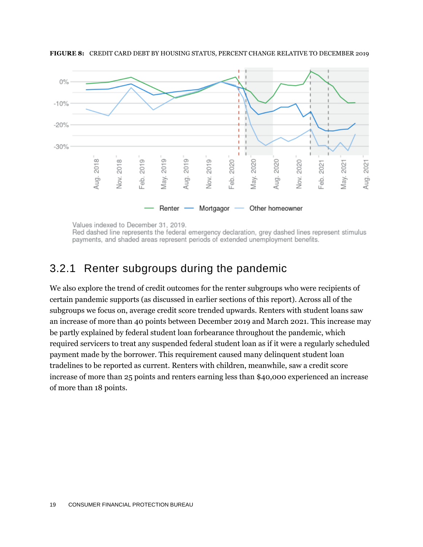

**FIGURE 8:** CREDIT CARD DEBT BY HOUSING STATUS, PERCENT CHANGE RELATIVE TO DECEMBER 2019

Values indexed to December 31, 2019.

Red dashed line represents the federal emergency declaration, grey dashed lines represent stimulus payments, and shaded areas represent periods of extended unemployment benefits.

### 3.2.1 Renter subgroups during the pandemic

We also explore the trend of credit outcomes for the renter subgroups who were recipients of certain pandemic supports (as discussed in earlier sections of this report). Across all of the subgroups we focus on, average credit score trended upwards. Renters with student loans saw an increase of more than 40 points between December 2019 and March 2021. This increase may be partly explained by federal student loan forbearance throughout the pandemic, which required servicers to treat any suspended federal student loan as if it were a regularly scheduled payment made by the borrower. This requirement caused many delinquent student loan tradelines to be reported as current. Renters with children, meanwhile, saw a credit score increase of more than 25 points and renters earning less than \$40,000 experienced an increase of more than 18 points.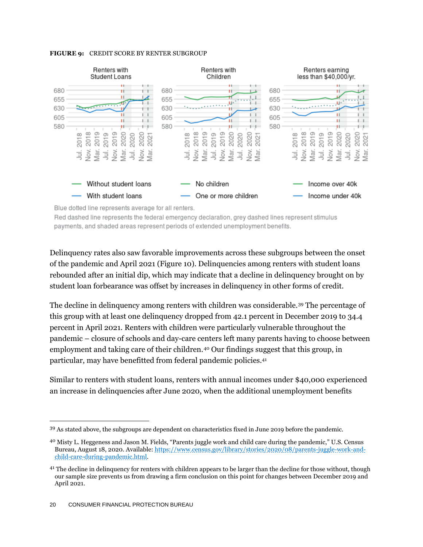#### **FIGURE 9:** CREDIT SCORE BY RENTER SUBGROUP



Blue dotted line represents average for all renters.

Red dashed line represents the federal emergency declaration, grey dashed lines represent stimulus payments, and shaded areas represent periods of extended unemployment benefits.

Delinquency rates also saw favorable improvements across these subgroups between the onset of the pandemic and April 2021 (Figure 10). Delinquencies among renters with student loans rebounded after an initial dip, which may indicate that a decline in delinquency brought on by student loan forbearance was offset by increases in delinquency in other forms of credit.

The decline in delinquency among renters with children was considerable.<sup>39</sup> The percentage of this group with at least one delinquency dropped from 42.1 percent in December 2019 to 34.4 percent in April 2021. Renters with children were particularly vulnerable throughout the pandemic – closure of schools and day-care centers left many parents having to choose between employment and taking care of their children.<sup>40</sup> Our findings suggest that this group, in particular, may have benefitted from federal pandemic policies. 41

Similar to renters with student loans, renters with annual incomes under \$40,000 experienced an increase in delinquencies after June 2020, when the additional unemployment benefits

<sup>39</sup> As stated above, the subgroups are dependent on characteristics fixed in June 2019 before the pandemic.

<sup>40</sup> Misty L. Heggeness and Jason M. Fields, "Parents juggle work and child care during the pandemic," U.S. Census Bureau, August 18, 2020. Available: [https://www.census.gov/library/stories/2020/08/parents-juggle-work-and](https://www.census.gov/library/stories/2020/08/parents-juggle-work-and-child-care-during-pandemic.html)[child-care-during-pandemic.html.](https://www.census.gov/library/stories/2020/08/parents-juggle-work-and-child-care-during-pandemic.html)

<sup>&</sup>lt;sup>41</sup> The decline in delinquency for renters with children appears to be larger than the decline for those without, though our sample size prevents us from drawing a firm conclusion on this point for changes between December 2019 and April 2021.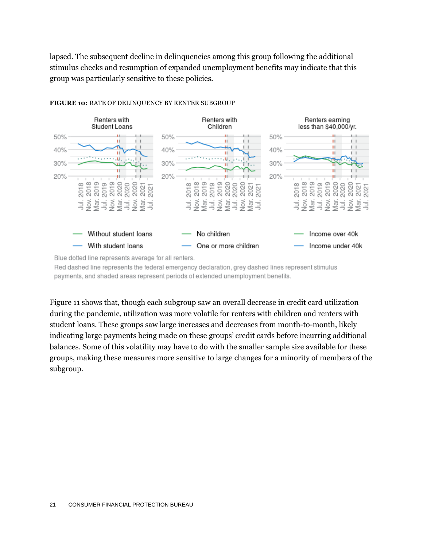lapsed. The subsequent decline in delinquencies among this group following the additional stimulus checks and resumption of expanded unemployment benefits may indicate that this group was particularly sensitive to these policies.



#### **FIGURE 10:** RATE OF DELINQUENCY BY RENTER SUBGROUP

Blue dotted line represents average for all renters.

Red dashed line represents the federal emergency declaration, grey dashed lines represent stimulus payments, and shaded areas represent periods of extended unemployment benefits.

Figure 11 shows that, though each subgroup saw an overall decrease in credit card utilization during the pandemic, utilization was more volatile for renters with children and renters with student loans. These groups saw large increases and decreases from month-to-month, likely indicating large payments being made on these groups' credit cards before incurring additional balances. Some of this volatility may have to do with the smaller sample size available for these groups, making these measures more sensitive to large changes for a minority of members of the subgroup.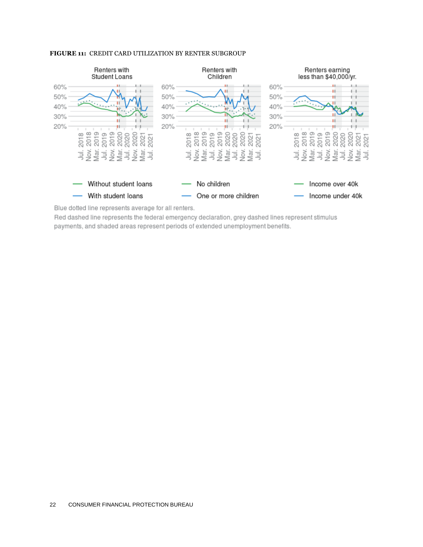

#### **FIGURE 11:** CREDIT CARD UTILIZATION BY RENTER SUBGROUP

Blue dotted line represents average for all renters.

Red dashed line represents the federal emergency declaration, grey dashed lines represent stimulus payments, and shaded areas represent periods of extended unemployment benefits.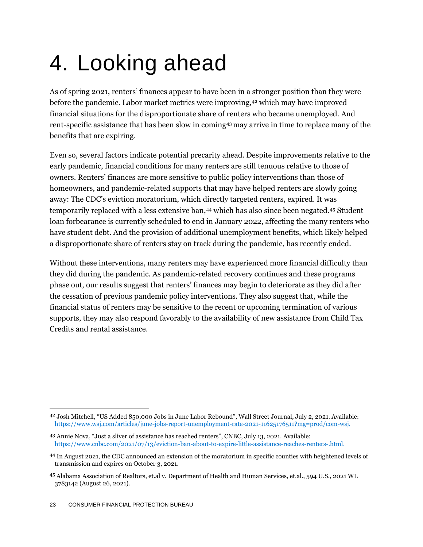# <span id="page-23-0"></span>4. Looking ahead

As of spring 2021, renters' finances appear to have been in a stronger position than they were before the pandemic. Labor market metrics were improving,<sup>42</sup> which may have improved financial situations for the disproportionate share of renters who became unemployed. And rent-specific assistance that has been slow in coming<sup>43</sup> may arrive in time to replace many of the benefits that are expiring.

Even so, several factors indicate potential precarity ahead. Despite improvements relative to the early pandemic, financial conditions for many renters are still tenuous relative to those of owners. Renters' finances are more sensitive to public policy interventions than those of homeowners, and pandemic-related supports that may have helped renters are slowly going away: The CDC's eviction moratorium, which directly targeted renters, expired. It was temporarily replaced with a less extensive ban,<sup>44</sup> which has also since been negated.<sup>45</sup> Student loan forbearance is currently scheduled to end in January 2022, affecting the many renters who have student debt. And the provision of additional unemployment benefits, which likely helped a disproportionate share of renters stay on track during the pandemic, has recently ended.

Without these interventions, many renters may have experienced more financial difficulty than they did during the pandemic. As pandemic-related recovery continues and these programs phase out, our results suggest that renters' finances may begin to deteriorate as they did after the cessation of previous pandemic policy interventions. They also suggest that, while the financial status of renters may be sensitive to the recent or upcoming termination of various supports, they may also respond favorably to the availability of new assistance from Child Tax Credits and rental assistance.

<sup>42</sup> Josh Mitchell, "US Added 850,000 Jobs in June Labor Rebound", Wall Street Journal, July 2, 2021. Available: [https://www.wsj.com/articles/june-jobs-report-unemployment-rate-2021-11625176511?mg=prod/com-wsj.](https://www.wsj.com/articles/june-jobs-report-unemployment-rate-2021-11625176511?mg=prod/com-wsj)

<sup>43</sup> Annie Nova, "Just a sliver of assistance has reached renters", CNBC, July 13, 2021. Available: [https://www.cnbc.com/2021/07/13/eviction-ban-about-to-expire-little-assistance-reaches-renters-.html.](https://www.cnbc.com/2021/07/13/eviction-ban-about-to-expire-little-assistance-reaches-renters-.html)

<sup>44</sup> In August 2021, the CDC announced an extension of the moratorium in specific counties with heightened levels of transmission and expires on October 3, 2021.

<sup>45</sup> Alabama Association of Realtors, et.al v. Department of Health and Human Services, et.al., 594 U.S., 2021 WL 3783142 (August 26, 2021).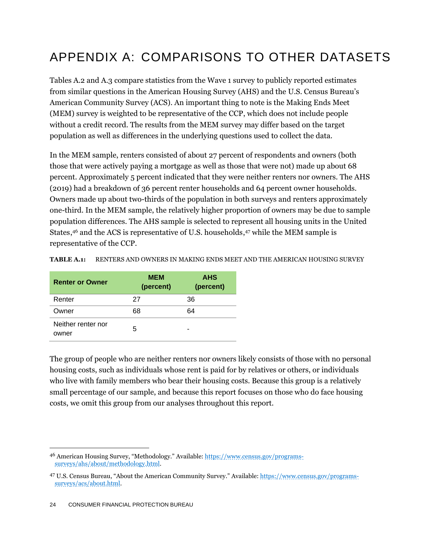### <span id="page-24-0"></span>APPENDIX A: COMPARISONS TO OTHER DATASETS

Tables A.2 and A.3 compare statistics from the Wave 1 survey to publicly reported estimates from similar questions in the American Housing Survey (AHS) and the U.S. Census Bureau's American Community Survey (ACS). An important thing to note is the Making Ends Meet (MEM) survey is weighted to be representative of the CCP, which does not include people without a credit record. The results from the MEM survey may differ based on the target population as well as differences in the underlying questions used to collect the data.

In the MEM sample, renters consisted of about 27 percent of respondents and owners (both those that were actively paying a mortgage as well as those that were not) made up about 68 percent. Approximately 5 percent indicated that they were neither renters nor owners. The AHS (2019) had a breakdown of 36 percent renter households and 64 percent owner households. Owners made up about two-thirds of the population in both surveys and renters approximately one-third. In the MEM sample, the relatively higher proportion of owners may be due to sample population differences. The AHS sample is selected to represent all housing units in the United States,<sup>46</sup> and the ACS is representative of U.S. households,<sup>47</sup> while the MEM sample is representative of the CCP.

| <b>Renter or Owner</b>      | <b>MEM</b><br>(percent) | <b>AHS</b><br>(percent) |
|-----------------------------|-------------------------|-------------------------|
| Renter                      | 27                      | 36                      |
| Owner                       | 68                      | 64                      |
| Neither renter nor<br>owner | 5                       |                         |

**TABLE A.1:** RENTERS AND OWNERS IN MAKING ENDS MEET AND THE AMERICAN HOUSING SURVEY

The group of people who are neither renters nor owners likely consists of those with no personal housing costs, such as individuals whose rent is paid for by relatives or others, or individuals who live with family members who bear their housing costs. Because this group is a relatively small percentage of our sample, and because this report focuses on those who do face housing costs, we omit this group from our analyses throughout this report.

<sup>46</sup> American Housing Survey, "Methodology." Available: [https://www.census.gov/programs](https://www.census.gov/programs-surveys/ahs/about/methodology.html)[surveys/ahs/about/methodology.html.](https://www.census.gov/programs-surveys/ahs/about/methodology.html) 

<sup>47</sup> U.S. Census Bureau, "About the American Community Survey." Available: [https://www.census.gov/programs](https://www.census.gov/programs-surveys/acs/about.html)[surveys/acs/about.html.](https://www.census.gov/programs-surveys/acs/about.html)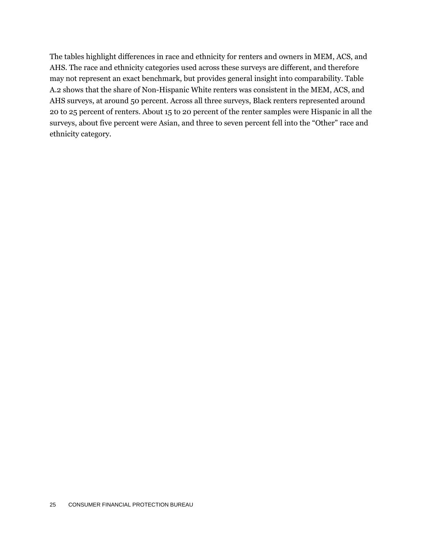The tables highlight differences in race and ethnicity for renters and owners in MEM, ACS, and AHS. The race and ethnicity categories used across these surveys are different, and therefore may not represent an exact benchmark, but provides general insight into comparability. Table A.2 shows that the share of Non-Hispanic White renters was consistent in the MEM, ACS, and AHS surveys, at around 50 percent. Across all three surveys, Black renters represented around 20 to 25 percent of renters. About 15 to 20 percent of the renter samples were Hispanic in all the surveys, about five percent were Asian, and three to seven percent fell into the "Other" race and ethnicity category.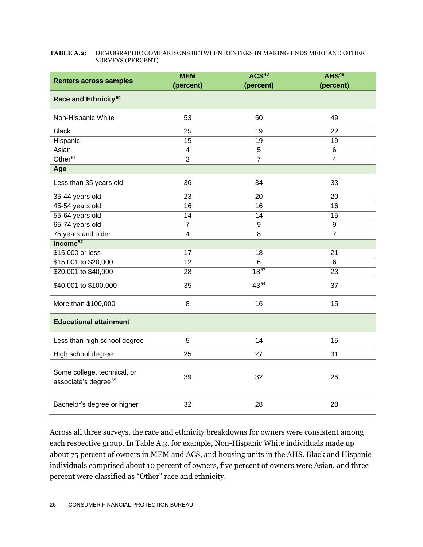#### **TABLE A.2:** DEMOGRAPHIC COMPARISONS BETWEEN RENTERS IN MAKING ENDS MEET AND OTHER SURVEYS (PERCENT)

| <b>Renters across samples</b>                                   | <b>MEM</b><br>(percent) | ACS <sup>48</sup><br>(percent) | AHS <sup>49</sup><br>(percent) |  |  |
|-----------------------------------------------------------------|-------------------------|--------------------------------|--------------------------------|--|--|
| Race and Ethnicity <sup>50</sup>                                |                         |                                |                                |  |  |
| Non-Hispanic White                                              | 53                      | 50                             | 49                             |  |  |
| <b>Black</b>                                                    | 25                      | 19                             | 22                             |  |  |
| Hispanic                                                        | 15                      | 19                             | 19                             |  |  |
| Asian                                                           | $\overline{4}$          | 5                              | $\overline{6}$                 |  |  |
| Other <sup>51</sup>                                             | $\overline{3}$          | $\overline{7}$                 | 4                              |  |  |
| Age                                                             |                         |                                |                                |  |  |
| Less than 35 years old                                          | 36                      | 34                             | 33                             |  |  |
| 35-44 years old                                                 | 23                      | 20                             | 20                             |  |  |
| 45-54 years old                                                 | 16                      | 16                             | 16                             |  |  |
| 55-64 years old                                                 | 14                      | 14                             | 15                             |  |  |
| 65-74 years old                                                 | $\overline{7}$          | 9                              | 9                              |  |  |
| 75 years and older                                              | $\overline{\mathbf{4}}$ | 8                              | $\overline{7}$                 |  |  |
| Income <sup>52</sup>                                            |                         |                                |                                |  |  |
| \$15,000 or less                                                | 17                      | 18                             | 21                             |  |  |
| \$15,001 to \$20,000                                            | $\overline{12}$         | 6                              | 6                              |  |  |
| \$20,001 to \$40,000                                            | 28                      | $18^{53}$                      | 23                             |  |  |
| \$40,001 to \$100,000                                           | 35                      | 4354                           | 37                             |  |  |
| More than \$100,000                                             | 8                       | 16                             | 15                             |  |  |
| <b>Educational attainment</b>                                   |                         |                                |                                |  |  |
| Less than high school degree                                    | 5                       | 14                             | 15                             |  |  |
| High school degree                                              | 25                      | 27                             | 31                             |  |  |
| Some college, technical, or<br>associate's degree <sup>55</sup> | 39                      | 32                             | 26                             |  |  |
| Bachelor's degree or higher                                     | 32                      | 28                             | 28                             |  |  |

Across all three surveys, the race and ethnicity breakdowns for owners were consistent among each respective group. In Table A.3, for example, Non-Hispanic White individuals made up about 75 percent of owners in MEM and ACS, and housing units in the AHS. Black and Hispanic individuals comprised about 10 percent of owners, five percent of owners were Asian, and three percent were classified as "Other" race and ethnicity.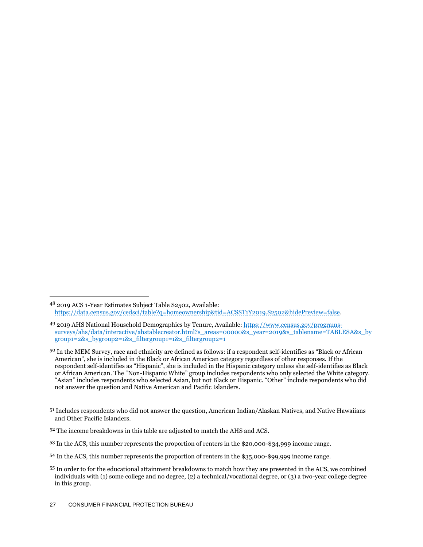- <sup>51</sup> Includes respondents who did not answer the question, American Indian/Alaskan Natives, and Native Hawaiians and Other Pacific Islanders.
- <sup>52</sup> The income breakdowns in this table are adjusted to match the AHS and ACS.
- <sup>53</sup> In the ACS, this number represents the proportion of renters in the \$20,000-\$34,999 income range.
- <sup>54</sup> In the ACS, this number represents the proportion of renters in the \$35,000-\$99,999 income range.

<sup>48</sup> 2019 ACS 1-Year Estimates Subject Table S2502, Available: [https://data.census.gov/cedsci/table?q=homeownership&tid=ACSST1Y2019.S2502&hidePreview=false.](https://data.census.gov/cedsci/table?q=homeownership&tid=ACSST1Y2019.S2502&hidePreview=false)

<sup>49 2019</sup> AHS National Household Demographics by Tenure, Available: [https://www.census.gov/programs](https://www.census.gov/programs-surveys/ahs/data/interactive/ahstablecreator.html?s_areas=00000&s_year=2019&s_tablename=TABLE8A&s_bygroup1=2&s_bygroup2=1&s_filtergroup1=1&s_filtergroup2=1)[surveys/ahs/data/interactive/ahstablecreator.html?s\\_areas=00000&s\\_year=2019&s\\_tablename=TABLE8A&s\\_by](https://www.census.gov/programs-surveys/ahs/data/interactive/ahstablecreator.html?s_areas=00000&s_year=2019&s_tablename=TABLE8A&s_bygroup1=2&s_bygroup2=1&s_filtergroup1=1&s_filtergroup2=1) [group1=2&s\\_bygroup2=1&s\\_filtergroup1=1&s\\_filtergroup2=1](https://www.census.gov/programs-surveys/ahs/data/interactive/ahstablecreator.html?s_areas=00000&s_year=2019&s_tablename=TABLE8A&s_bygroup1=2&s_bygroup2=1&s_filtergroup1=1&s_filtergroup2=1)

<sup>&</sup>lt;sup>50</sup> In the MEM Survey, race and ethnicity are defined as follows: if a respondent self-identifies as "Black or African American", she is included in the Black or African American category regardless of other responses. If the respondent self-identifies as "Hispanic", she is included in the Hispanic category unless she self-identifies as Black or African American. The "Non-Hispanic White" group includes respondents who only selected the White category. "Asian" includes respondents who selected Asian, but not Black or Hispanic. "Other" include respondents who did not answer the question and Native American and Pacific Islanders.

<sup>55</sup> In order to for the educational attainment breakdowns to match how they are presented in the ACS, we combined individuals with (1) some college and no degree, (2) a technical/vocational degree, or (3) a two-year college degree in this group.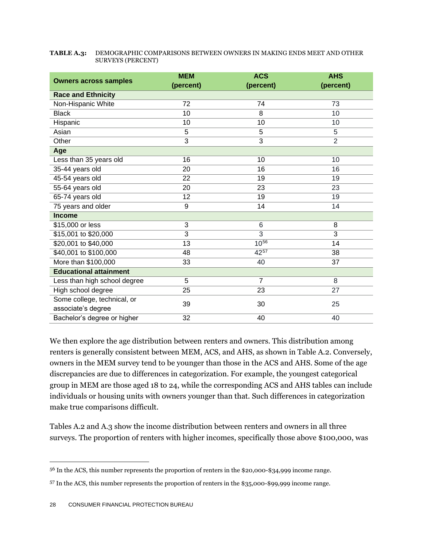#### **TABLE A.3:** DEMOGRAPHIC COMPARISONS BETWEEN OWNERS IN MAKING ENDS MEET AND OTHER SURVEYS (PERCENT)

| <b>Owners across samples</b>  | <b>MEM</b>     | <b>ACS</b>     | <b>AHS</b>     |  |  |  |
|-------------------------------|----------------|----------------|----------------|--|--|--|
|                               | (percent)      | (percent)      | (percent)      |  |  |  |
| <b>Race and Ethnicity</b>     |                |                |                |  |  |  |
| Non-Hispanic White            | 72             | 74             | 73             |  |  |  |
| <b>Black</b>                  | 10             | 8              | 10             |  |  |  |
| Hispanic                      | 10             | 10             | 10             |  |  |  |
| Asian                         | 5              | 5              | 5              |  |  |  |
| Other                         | $\overline{3}$ | $\overline{3}$ | $\overline{2}$ |  |  |  |
| Age                           |                |                |                |  |  |  |
| Less than 35 years old        | 16             | 10             | 10             |  |  |  |
| 35-44 years old               | 20             | 16             | 16             |  |  |  |
| 45-54 years old               | 22             | 19             | 19             |  |  |  |
| 55-64 years old               | 20             | 23             | 23             |  |  |  |
| 65-74 years old               | 12             | 19             | 19             |  |  |  |
| 75 years and older            | 9              | 14             | 14             |  |  |  |
| <b>Income</b>                 |                |                |                |  |  |  |
| \$15,000 or less              | 3              | 6              | 8              |  |  |  |
| \$15,001 to \$20,000          | 3              | 3              | 3              |  |  |  |
| \$20,001 to \$40,000          | 13             | $10^{56}$      | 14             |  |  |  |
| \$40,001 to \$100,000         | 48             | 4257           | 38             |  |  |  |
| More than \$100,000           | 33             | 40             | 37             |  |  |  |
| <b>Educational attainment</b> |                |                |                |  |  |  |
| Less than high school degree  | 5              | $\overline{7}$ | 8              |  |  |  |
| High school degree            | 25             | 23             | 27             |  |  |  |
| Some college, technical, or   |                | 30             | 25             |  |  |  |
| associate's degree            | 39             |                |                |  |  |  |
| Bachelor's degree or higher   | 32             | 40             | 40             |  |  |  |

We then explore the age distribution between renters and owners. This distribution among renters is generally consistent between MEM, ACS, and AHS, as shown in Table A.2. Conversely, owners in the MEM survey tend to be younger than those in the ACS and AHS. Some of the age discrepancies are due to differences in categorization. For example, the youngest categorical group in MEM are those aged 18 to 24, while the corresponding ACS and AHS tables can include individuals or housing units with owners younger than that. Such differences in categorization make true comparisons difficult.

Tables A.2 and A.3 show the income distribution between renters and owners in all three surveys. The proportion of renters with higher incomes, specifically those above \$100,000, was

<sup>56</sup> In the ACS, this number represents the proportion of renters in the \$20,000-\$34,999 income range.

<sup>57</sup> In the ACS, this number represents the proportion of renters in the \$35,000-\$99,999 income range.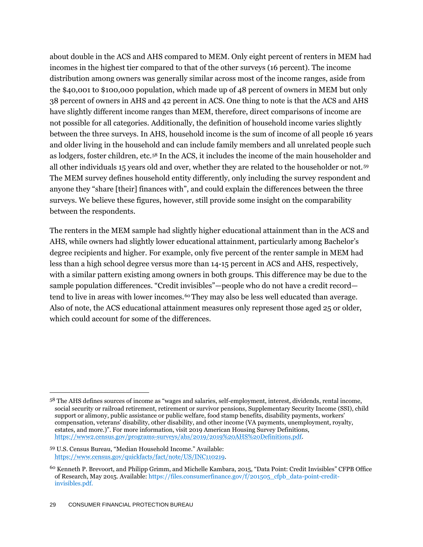about double in the ACS and AHS compared to MEM. Only eight percent of renters in MEM had incomes in the highest tier compared to that of the other surveys (16 percent). The income distribution among owners was generally similar across most of the income ranges, aside from the \$40,001 to \$100,000 population, which made up of 48 percent of owners in MEM but only 38 percent of owners in AHS and 42 percent in ACS. One thing to note is that the ACS and AHS have slightly different income ranges than MEM, therefore, direct comparisons of income are not possible for all categories. Additionally, the definition of household income varies slightly between the three surveys. In AHS, household income is the sum of income of all people 16 years and older living in the household and can include family members and all unrelated people such as lodgers, foster children, etc.<sup>58</sup> In the ACS, it includes the income of the main householder and all other individuals 15 years old and over, whether they are related to the householder or not.<sup>59</sup> The MEM survey defines household entity differently, only including the survey respondent and anyone they "share [their] finances with", and could explain the differences between the three surveys. We believe these figures, however, still provide some insight on the comparability between the respondents.

The renters in the MEM sample had slightly higher educational attainment than in the ACS and AHS, while owners had slightly lower educational attainment, particularly among Bachelor's degree recipients and higher. For example, only five percent of the renter sample in MEM had less than a high school degree versus more than 14-15 percent in ACS and AHS, respectively, with a similar pattern existing among owners in both groups. This difference may be due to the sample population differences. "Credit invisibles"—people who do not have a credit record tend to live in areas with lower incomes.<sup>60</sup> They may also be less well educated than average. Also of note, the ACS educational attainment measures only represent those aged 25 or older, which could account for some of the differences.

<sup>58</sup> The AHS defines sources of income as "wages and salaries, self-employment, interest, dividends, rental income, social security or railroad retirement, retirement or survivor pensions, Supplementary Security Income (SSI), child support or alimony, public assistance or public welfare, food stamp benefits, disability payments, workers' compensation, veterans' disability, other disability, and other income (VA payments, unemployment, royalty, estates, and more.)". For more information, visit 2019 American Housing Survey Definitions, [https://www2.census.gov/programs-surveys/ahs/2019/2019%20AHS%20Definitions.pdf.](https://www2.census.gov/programs-surveys/ahs/2019/2019%20AHS%20Definitions.pdf)

<sup>59</sup> U.S. Census Bureau, "Median Household Income." Available: [https://www.census.gov/quickfacts/fact/note/US/INC110219.](https://www.census.gov/quickfacts/fact/note/US/INC110219) 

<sup>60</sup> Kenneth P. Brevoort, and Philipp Grimm, and Michelle Kambara, 2015, "Data Point: Credit Invisibles" CFPB Office of Research, May 2015. Available: https://files.consumerfinance.gov/f/201505\_cfpb\_data-point-creditinvisibles.pdf.